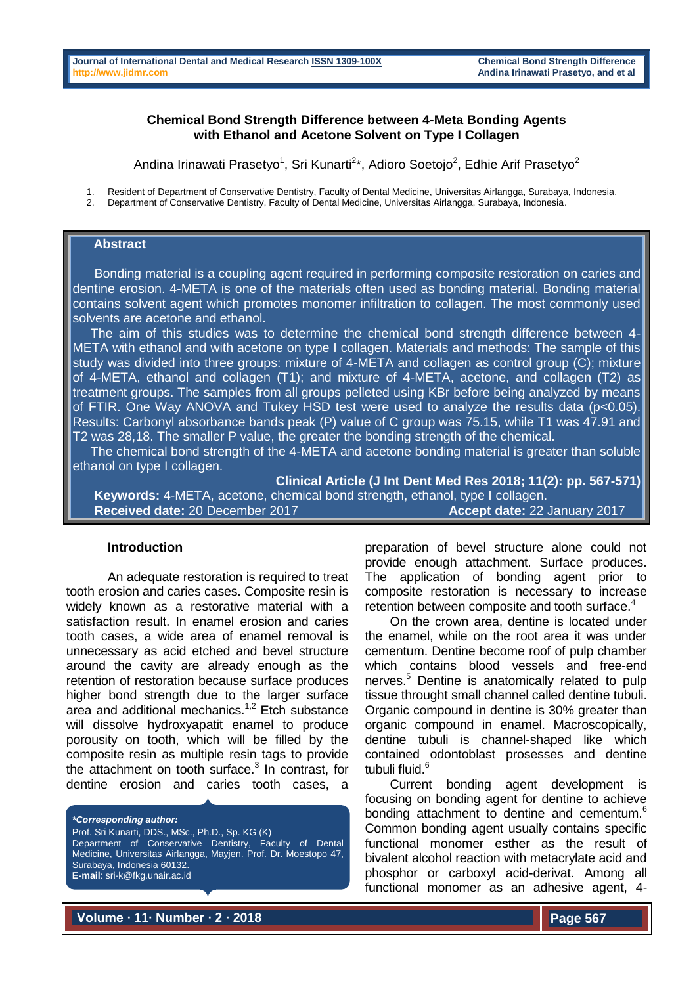#### **Chemical Bond Strength Difference between 4-Meta Bonding Agents with Ethanol and Acetone Solvent on Type I Collagen**

Andina Irinawati Prasetyo<sup>1</sup>, Sri Kunarti<sup>2\*</sup>, Adioro Soetojo<sup>2</sup>, Edhie Arif Prasetyo<sup>2</sup>

1. Resident of Department of Conservative Dentistry, Faculty of Dental Medicine, Universitas Airlangga, Surabaya, Indonesia.

2. Department of Conservative Dentistry, Faculty of Dental Medicine, Universitas Airlangga, Surabaya, Indonesia.

# **Abstract**

 Bonding material is a coupling agent required in performing composite restoration on caries and dentine erosion. 4-META is one of the materials often used as bonding material. Bonding material contains solvent agent which promotes monomer infiltration to collagen. The most commonly used solvents are acetone and ethanol.

 The aim of this studies was to determine the chemical bond strength difference between 4- META with ethanol and with acetone on type I collagen. Materials and methods: The sample of this study was divided into three groups: mixture of 4-META and collagen as control group (C); mixture of 4-META, ethanol and collagen (T1); and mixture of 4-META, acetone, and collagen (T2) as treatment groups. The samples from all groups pelleted using KBr before being analyzed by means of FTIR. One Way ANOVA and Tukey HSD test were used to analyze the results data (p<0.05). Results: Carbonyl absorbance bands peak (P) value of C group was 75.15, while T1 was 47.91 and T2 was 28,18. The smaller P value, the greater the bonding strength of the chemical.

 The chemical bond strength of the 4-META and acetone bonding material is greater than soluble ethanol on type I collagen.

**Clinical Article (J Int Dent Med Res 2018; 11(2): pp. 567-571) Keywords:** 4-META, acetone, chemical bond strength, ethanol, type I collagen.

**Received date:** 20 December 2017 **Accept date:** 22 January 2017

#### **Introduction**

An adequate restoration is required to treat tooth erosion and caries cases. Composite resin is widely known as a restorative material with a satisfaction result. In enamel erosion and caries tooth cases, a wide area of enamel removal is unnecessary as acid etched and bevel structure around the cavity are already enough as the retention of restoration because surface produces higher bond strength due to the larger surface area and additional mechanics.<sup>1,2</sup> Etch substance will dissolve hydroxyapatit enamel to produce porousity on tooth, which will be filled by the composite resin as multiple resin tags to provide the attachment on tooth surface.<sup>3</sup> In contrast, for dentine erosion and caries tooth cases, a

*\*Corresponding author:* Prof. Sri Kunarti, DDS., MSc., Ph.D., Sp. KG (K) Department of Conservative Dentistry, Faculty of Dental Medicine, Universitas Airlangga, Mayjen. Prof. Dr. Moestopo 47, Surabaya, Indonesia 60132. **E-mail**: sri-k@fkg.unair.ac.id Telephone (+62 31) 5030255, 502025

preparation of bevel structure alone could not provide enough attachment. Surface produces. The application of bonding agent prior to composite restoration is necessary to increase retention between composite and tooth surface.<sup>4</sup>

On the crown area, dentine is located under the enamel, while on the root area it was under cementum. Dentine become roof of pulp chamber which contains blood vessels and free-end nerves.<sup>5</sup> Dentine is anatomically related to pulp tissue throught small channel called dentine tubuli. Organic compound in dentine is 30% greater than organic compound in enamel. Macroscopically, dentine tubuli is channel-shaped like which contained odontoblast prosesses and dentine tubuli fluid.<sup>6</sup>

Current bonding agent development is focusing on bonding agent for dentine to achieve bonding attachment to dentine and cementum.<sup>6</sup> Common bonding agent usually contains specific functional monomer esther as the result of bivalent alcohol reaction with metacrylate acid and phosphor or carboxyl acid-derivat. Among all functional monomer as an adhesive agent, 4-

**Volume ∙ 11∙ Number ∙ 2 ∙ 2018**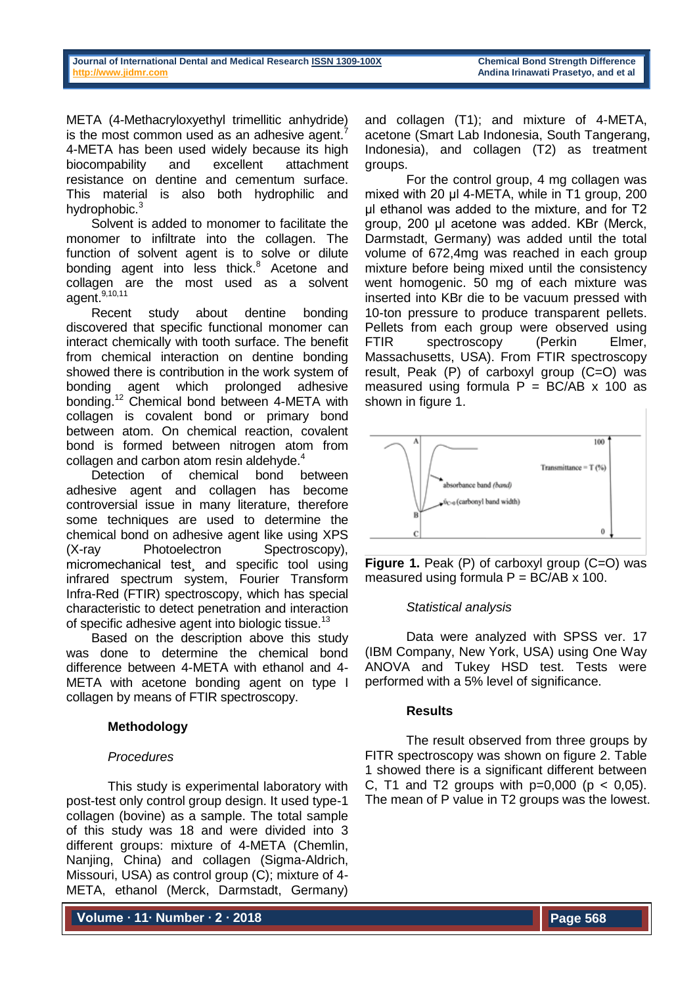META (4-Methacryloxyethyl trimellitic anhydride) is the most common used as an adhesive agent.<sup>7</sup> 4-META has been used widely because its high biocompability and excellent attachment resistance on dentine and cementum surface. This material is also both hydrophilic and hydrophobic.<sup>3</sup>

Solvent is added to monomer to facilitate the monomer to infiltrate into the collagen. The function of solvent agent is to solve or dilute bonding agent into less thick.<sup>8</sup> Acetone and collagen are the most used as a solvent agent.<sup>9,10,11</sup>

Recent study about dentine bonding discovered that specific functional monomer can interact chemically with tooth surface. The benefit from chemical interaction on dentine bonding showed there is contribution in the work system of bonding agent which prolonged adhesive bonding.<sup>12</sup> Chemical bond between 4-META with collagen is covalent bond or primary bond between atom. On chemical reaction, covalent bond is formed between nitrogen atom from collagen and carbon atom resin aldehyde.<sup>4</sup>

Detection of chemical bond between adhesive agent and collagen has become controversial issue in many literature, therefore some techniques are used to determine the chemical bond on adhesive agent like using XPS (X-ray Photoelectron Spectroscopy), micromechanical test¸ and specific tool using infrared spectrum system, Fourier Transform Infra-Red (FTIR) spectroscopy, which has special characteristic to detect penetration and interaction of specific adhesive agent into biologic tissue.<sup>13</sup>

Based on the description above this study was done to determine the chemical bond difference between 4-META with ethanol and 4- META with acetone bonding agent on type I collagen by means of FTIR spectroscopy.

# **Methodology**

# *Procedures*

This study is experimental laboratory with post-test only control group design. It used type-1 collagen (bovine) as a sample. The total sample of this study was 18 and were divided into 3 different groups: mixture of 4-META (Chemlin, Nanjing, China) and collagen (Sigma-Aldrich, Missouri, USA) as control group (C); mixture of 4- META, ethanol (Merck, Darmstadt, Germany)

**Volume ∙ 11∙ Number ∙ 2 ∙ 2018**

and collagen (T1); and mixture of 4-META, acetone (Smart Lab Indonesia, South Tangerang, Indonesia), and collagen (T2) as treatment groups.

For the control group, 4 mg collagen was mixed with 20 μl 4-META, while in T1 group, 200 μl ethanol was added to the mixture, and for T2 group, 200 μl acetone was added. KBr (Merck, Darmstadt, Germany) was added until the total volume of 672,4mg was reached in each group mixture before being mixed until the consistency went homogenic. 50 mg of each mixture was inserted into KBr die to be vacuum pressed with 10-ton pressure to produce transparent pellets. Pellets from each group were observed using FTIR spectroscopy (Perkin Elmer, Massachusetts, USA). From FTIR spectroscopy result, Peak (P) of carboxyl group (C=O) was measured using formula  $P = BC/AB \times 100$  as shown in figure 1.



**Figure 1.** Peak (P) of carboxyl group (C=O) was measured using formula  $P = BC/AB \times 100$ .

# *Statistical analysis*

Data were analyzed with SPSS ver. 17 (IBM Company, New York, USA) using One Way ANOVA and Tukey HSD test. Tests were performed with a 5% level of significance.

#### **Results**

The result observed from three groups by FITR spectroscopy was shown on figure 2. Table 1 showed there is a significant different between C, T1 and T2 groups with  $p=0,000$  ( $p < 0,05$ ). The mean of P value in T2 groups was the lowest.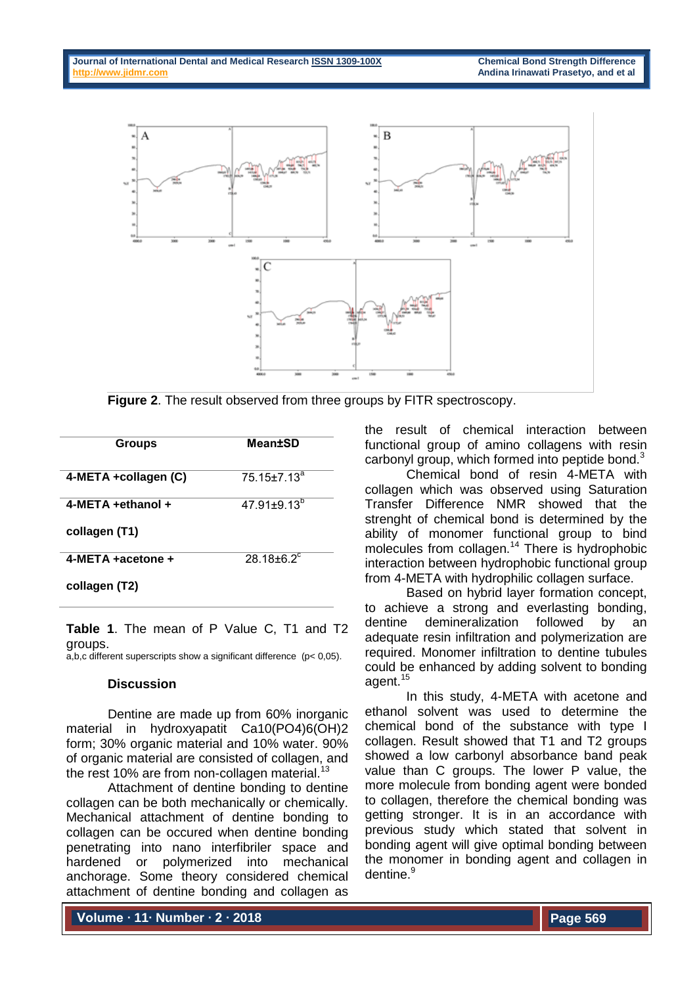

**Figure 2**. The result observed from three groups by FITR spectroscopy.

| <b>Groups</b>              | <b>Mean±SD</b>           |
|----------------------------|--------------------------|
| 4-META +collagen (C)       | 75.15±7.13 <sup>a</sup>  |
| 4-META +ethanol +          | $47.91 \pm 9.13^{\circ}$ |
| collagen (T1)              |                          |
| 4-META $\pm$ acetone $\pm$ | $28.18 \pm 6.2$          |
| collagen (T2)              |                          |

Table 1. The mean of P Value C, T1 and T2 groups.

a,b,c different superscripts show a significant difference ( $p$  < 0,05).

# **Discussion**

Dentine are made up from 60% inorganic material in hydroxyapatit Ca10(PO4)6(OH)2 form; 30% organic material and 10% water. 90% of organic material are consisted of collagen, and the rest 10% are from non-collagen material.<sup>13</sup>

Attachment of dentine bonding to dentine collagen can be both mechanically or chemically. Mechanical attachment of dentine bonding to collagen can be occured when dentine bonding penetrating into nano interfibriler space and hardened or polymerized into mechanical anchorage. Some theory considered chemical attachment of dentine bonding and collagen as

the result of chemical interaction between functional group of amino collagens with resin carbonyl group, which formed into peptide bond.<sup>3</sup>

Chemical bond of resin 4-META with collagen which was observed using Saturation Transfer Difference NMR showed that the strenght of chemical bond is determined by the ability of monomer functional group to bind molecules from collagen.<sup>14</sup> There is hydrophobic interaction between hydrophobic functional group from 4-META with hydrophilic collagen surface.

Based on hybrid layer formation concept, to achieve a strong and everlasting bonding, dentine demineralization followed by an adequate resin infiltration and polymerization are required. Monomer infiltration to dentine tubules could be enhanced by adding solvent to bonding agent.<sup>15</sup>

In this study, 4-META with acetone and ethanol solvent was used to determine the chemical bond of the substance with type I collagen. Result showed that T1 and T2 groups showed a low carbonyl absorbance band peak value than C groups. The lower P value, the more molecule from bonding agent were bonded to collagen, therefore the chemical bonding was getting stronger. It is in an accordance with previous study which stated that solvent in bonding agent will give optimal bonding between the monomer in bonding agent and collagen in dentine.<sup>9</sup>

**Volume ∙ 11∙ Number ∙ 2 ∙ 2018**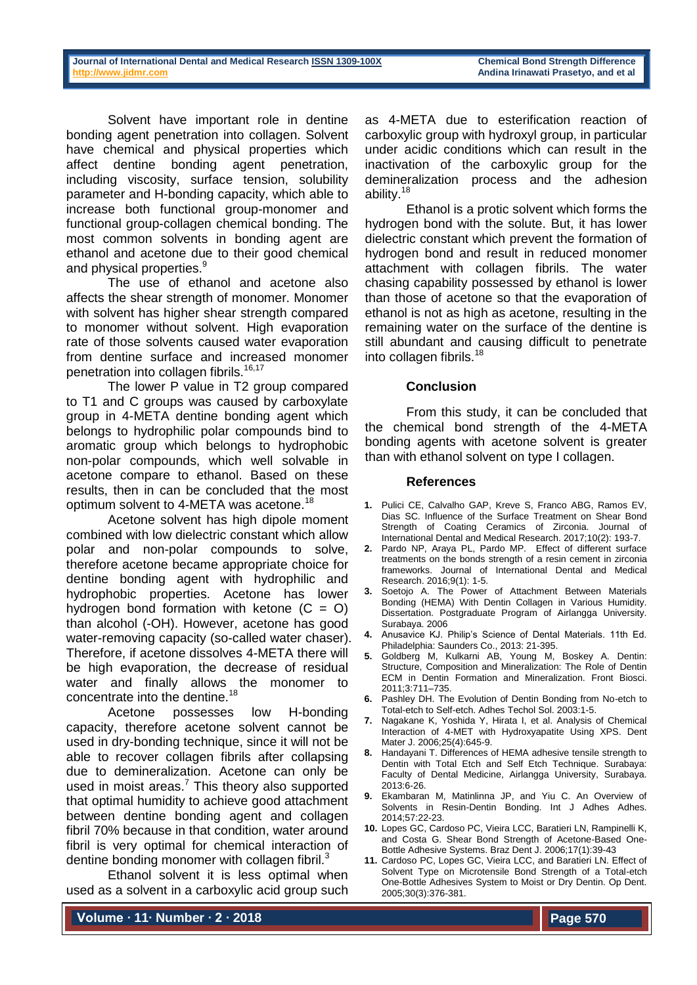Solvent have important role in dentine bonding agent penetration into collagen. Solvent have chemical and physical properties which affect dentine bonding agent penetration, including viscosity, surface tension, solubility parameter and H-bonding capacity, which able to increase both functional group-monomer and functional group-collagen chemical bonding. The most common solvents in bonding agent are ethanol and acetone due to their good chemical and physical properties.<sup>9</sup>

The use of ethanol and acetone also affects the shear strength of monomer. Monomer with solvent has higher shear strength compared to monomer without solvent. High evaporation rate of those solvents caused water evaporation from dentine surface and increased monomer penetration into collagen fibrils.<sup>16,17</sup>

The lower P value in T2 group compared to T1 and C groups was caused by carboxylate group in 4-META dentine bonding agent which belongs to hydrophilic polar compounds bind to aromatic group which belongs to hydrophobic non-polar compounds, which well solvable in acetone compare to ethanol. Based on these results, then in can be concluded that the most optimum solvent to 4-META was acetone.<sup>18</sup>

Acetone solvent has high dipole moment combined with low dielectric constant which allow polar and non-polar compounds to solve, therefore acetone became appropriate choice for dentine bonding agent with hydrophilic and hydrophobic properties. Acetone has lower hydrogen bond formation with ketone  $(C = O)$ than alcohol (-OH). However, acetone has good water-removing capacity (so-called water chaser). Therefore, if acetone dissolves 4-META there will be high evaporation, the decrease of residual water and finally allows the monomer to concentrate into the dentine.<sup>18</sup>

Acetone possesses low H-bonding capacity, therefore acetone solvent cannot be used in dry-bonding technique, since it will not be able to recover collagen fibrils after collapsing due to demineralization. Acetone can only be used in moist areas. $<sup>7</sup>$  This theory also supported</sup> that optimal humidity to achieve good attachment between dentine bonding agent and collagen fibril 70% because in that condition, water around fibril is very optimal for chemical interaction of dentine bonding monomer with collagen fibril. $3$ 

Ethanol solvent it is less optimal when used as a solvent in a carboxylic acid group such as 4-META due to esterification reaction of carboxylic group with hydroxyl group, in particular under acidic conditions which can result in the inactivation of the carboxylic group for the demineralization process and the adhesion ability.<sup>18</sup>

Ethanol is a protic solvent which forms the hydrogen bond with the solute. But, it has lower dielectric constant which prevent the formation of hydrogen bond and result in reduced monomer attachment with collagen fibrils. The water chasing capability possessed by ethanol is lower than those of acetone so that the evaporation of ethanol is not as high as acetone, resulting in the remaining water on the surface of the dentine is still abundant and causing difficult to penetrate into collagen fibrils.<sup>18</sup>

# **Conclusion**

From this study, it can be concluded that the chemical bond strength of the 4-META bonding agents with acetone solvent is greater than with ethanol solvent on type I collagen.

# **References**

- **1.** Pulici CE, Calvalho GAP, Kreve S, Franco ABG, Ramos EV, Dias SC. Influence of the Surface Treatment on Shear Bond Strength of Coating Ceramics of Zirconia. Journal of International Dental and Medical Research. 2017;10(2): 193-7.
- **2.** Pardo NP, Araya PL, Pardo MP. Effect of different surface treatments on the bonds strength of a resin cement in zirconia frameworks. Journal of International Dental and Medical Research. 2016;9(1): 1-5.
- **3.** Soetojo A. The Power of Attachment Between Materials Bonding (HEMA) With Dentin Collagen in Various Humidity. Dissertation. Postgraduate Program of Airlangga University. Surabaya. 2006
- **4.** Anusavice KJ. Philip's Science of Dental Materials. 11th Ed. Philadelphia: Saunders Co., 2013: 21-395.
- **5.** Goldberg M, Kulkarni AB, Young M, Boskey A. Dentin: Structure, Composition and Mineralization: The Role of Dentin ECM in Dentin Formation and Mineralization. Front Biosci. 2011;3:711–735.
- **6.** Pashley DH. The Evolution of Dentin Bonding from No-etch to Total-etch to Self-etch. Adhes Techol Sol. 2003:1-5.
- **7.** Nagakane K, Yoshida Y, Hirata I, et al. Analysis of Chemical Interaction of 4-MET with Hydroxyapatite Using XPS. Dent Mater J. 2006;25(4):645-9.
- **8.** Handayani T. Differences of HEMA adhesive tensile strength to Dentin with Total Etch and Self Etch Technique. Surabaya: Faculty of Dental Medicine, Airlangga University, Surabaya. 2013:6-26.
- **9.** Ekambaran M, Matinlinna JP, and Yiu C. An Overview of Solvents in Resin-Dentin Bonding. Int J Adhes Adhes. 2014;57:22-23.
- **10.** Lopes GC, Cardoso PC, Vieira LCC, Baratieri LN, Rampinelli K, and Costa G. Shear Bond Strength of Acetone-Based One-Bottle Adhesive Systems. Braz Dent J. 2006;17(1):39-43
- **11.** Cardoso PC, Lopes GC, Vieira LCC, and Baratieri LN. Effect of Solvent Type on Microtensile Bond Strength of a Total-etch One-Bottle Adhesives System to Moist or Dry Dentin. Op Dent. 2005;30(3):376-381.

**Volume ∙ 11∙ Number ∙ 2 ∙ 2018**